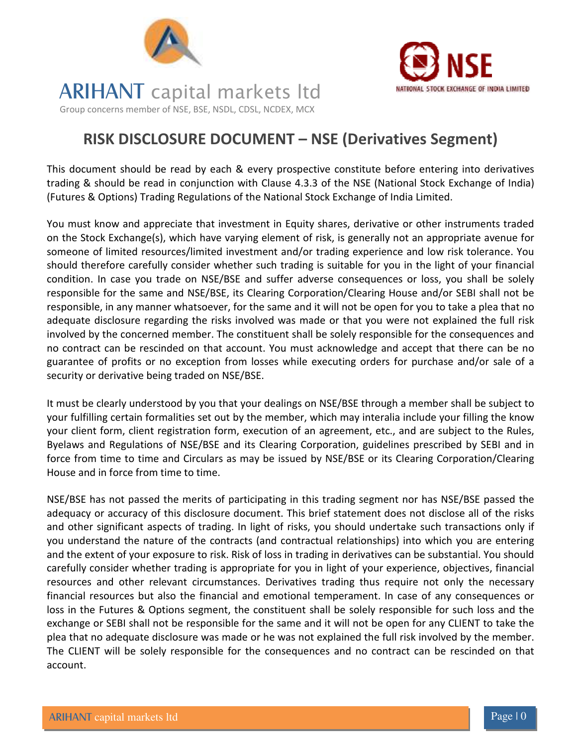



## **ARIHANT** capital markets ltd Group concerns member of NSE, BSE, NSDL, CDSL, NCDEX, MCX

### RISK DISCLOSURE DOCUMENT – NSE (Derivatives Segment)

This document should be read by each & every prospective constitute before entering into derivatives trading & should be read in conjunction with Clause 4.3.3 of the NSE (National Stock Exchange of India) (Futures & Options) Trading Regulations of the National Stock Exchange of India Limited.

You must know and appreciate that investment in Equity shares, derivative or other instruments traded on the Stock Exchange(s), which have varying element of risk, is generally not an appropriate avenue for someone of limited resources/limited investment and/or trading experience and low risk tolerance. You should therefore carefully consider whether such trading is suitable for you in the light of your financial condition. In case you trade on NSE/BSE and suffer adverse consequences or loss, you shall be solely responsible for the same and NSE/BSE, its Clearing Corporation/Clearing House and/or SEBI shall not be responsible, in any manner whatsoever, for the same and it will not be open for you to take a plea that no adequate disclosure regarding the risks involved was made or that you were not explained the full risk involved by the concerned member. The constituent shall be solely responsible for the consequences and no contract can be rescinded on that account. You must acknowledge and accept that there can be no guarantee of profits or no exception from losses while executing orders for purchase and/or sale of a security or derivative being traded on NSE/BSE.

It must be clearly understood by you that your dealings on NSE/BSE through a member shall be subject to your fulfilling certain formalities set out by the member, which may interalia include your filling the know your client form, client registration form, execution of an agreement, etc., and are subject to the Rules, Byelaws and Regulations of NSE/BSE and its Clearing Corporation, guidelines prescribed by SEBI and in force from time to time and Circulars as may be issued by NSE/BSE or its Clearing Corporation/Clearing House and in force from time to time.

NSE/BSE has not passed the merits of participating in this trading segment nor has NSE/BSE passed the adequacy or accuracy of this disclosure document. This brief statement does not disclose all of the risks and other significant aspects of trading. In light of risks, you should undertake such transactions only if you understand the nature of the contracts (and contractual relationships) into which you are entering and the extent of your exposure to risk. Risk of loss in trading in derivatives can be substantial. You should carefully consider whether trading is appropriate for you in light of your experience, objectives, financial resources and other relevant circumstances. Derivatives trading thus require not only the necessary financial resources but also the financial and emotional temperament. In case of any consequences or loss in the Futures & Options segment, the constituent shall be solely responsible for such loss and the exchange or SEBI shall not be responsible for the same and it will not be open for any CLIENT to take the plea that no adequate disclosure was made or he was not explained the full risk involved by the member. The CLIENT will be solely responsible for the consequences and no contract can be rescinded on that account.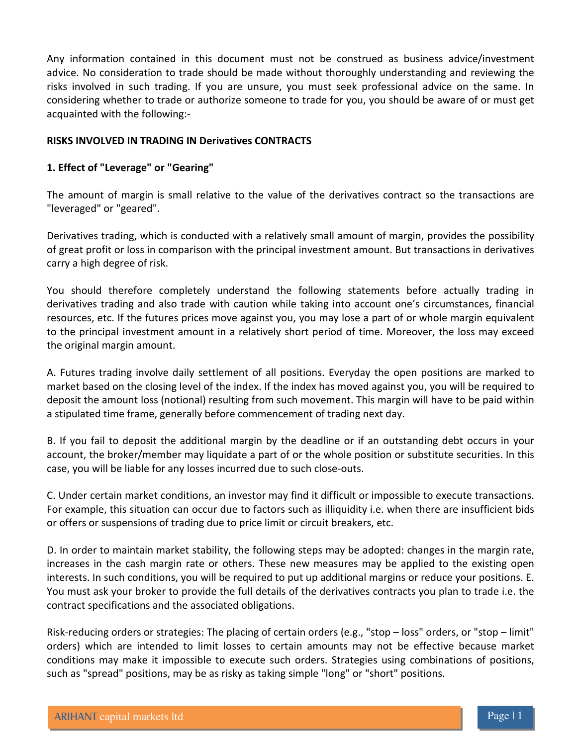Any information contained in this document must not be construed as business advice/investment advice. No consideration to trade should be made without thoroughly understanding and reviewing the risks involved in such trading. If you are unsure, you must seek professional advice on the same. In considering whether to trade or authorize someone to trade for you, you should be aware of or must get acquainted with the following:-

#### RISKS INVOLVED IN TRADING IN Derivatives CONTRACTS

#### 1. Effect of "Leverage" or "Gearing"

The amount of margin is small relative to the value of the derivatives contract so the transactions are "leveraged" or "geared".

Derivatives trading, which is conducted with a relatively small amount of margin, provides the possibility of great profit or loss in comparison with the principal investment amount. But transactions in derivatives carry a high degree of risk.

You should therefore completely understand the following statements before actually trading in derivatives trading and also trade with caution while taking into account one's circumstances, financial resources, etc. If the futures prices move against you, you may lose a part of or whole margin equivalent to the principal investment amount in a relatively short period of time. Moreover, the loss may exceed the original margin amount.

A. Futures trading involve daily settlement of all positions. Everyday the open positions are marked to market based on the closing level of the index. If the index has moved against you, you will be required to deposit the amount loss (notional) resulting from such movement. This margin will have to be paid within a stipulated time frame, generally before commencement of trading next day.

B. If you fail to deposit the additional margin by the deadline or if an outstanding debt occurs in your account, the broker/member may liquidate a part of or the whole position or substitute securities. In this case, you will be liable for any losses incurred due to such close-outs.

C. Under certain market conditions, an investor may find it difficult or impossible to execute transactions. For example, this situation can occur due to factors such as illiquidity i.e. when there are insufficient bids or offers or suspensions of trading due to price limit or circuit breakers, etc.

D. In order to maintain market stability, the following steps may be adopted: changes in the margin rate, increases in the cash margin rate or others. These new measures may be applied to the existing open interests. In such conditions, you will be required to put up additional margins or reduce your positions. E. You must ask your broker to provide the full details of the derivatives contracts you plan to trade i.e. the contract specifications and the associated obligations.

Risk-reducing orders or strategies: The placing of certain orders (e.g., "stop – loss" orders, or "stop – limit" orders) which are intended to limit losses to certain amounts may not be effective because market conditions may make it impossible to execute such orders. Strategies using combinations of positions, such as "spread" positions, may be as risky as taking simple "long" or "short" positions.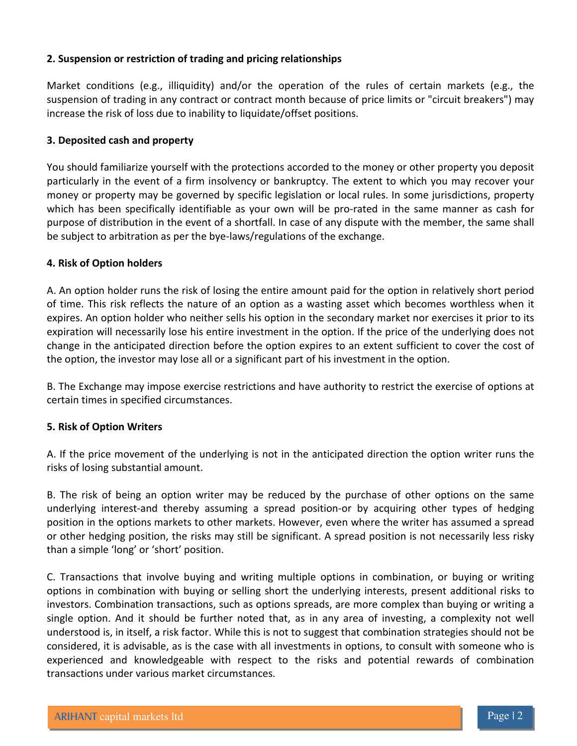#### 2. Suspension or restriction of trading and pricing relationships

Market conditions (e.g., illiquidity) and/or the operation of the rules of certain markets (e.g., the suspension of trading in any contract or contract month because of price limits or "circuit breakers") may increase the risk of loss due to inability to liquidate/offset positions.

#### 3. Deposited cash and property

You should familiarize yourself with the protections accorded to the money or other property you deposit particularly in the event of a firm insolvency or bankruptcy. The extent to which you may recover your money or property may be governed by specific legislation or local rules. In some jurisdictions, property which has been specifically identifiable as your own will be pro-rated in the same manner as cash for purpose of distribution in the event of a shortfall. In case of any dispute with the member, the same shall be subject to arbitration as per the bye-laws/regulations of the exchange.

#### 4. Risk of Option holders

A. An option holder runs the risk of losing the entire amount paid for the option in relatively short period of time. This risk reflects the nature of an option as a wasting asset which becomes worthless when it expires. An option holder who neither sells his option in the secondary market nor exercises it prior to its expiration will necessarily lose his entire investment in the option. If the price of the underlying does not change in the anticipated direction before the option expires to an extent sufficient to cover the cost of the option, the investor may lose all or a significant part of his investment in the option.

B. The Exchange may impose exercise restrictions and have authority to restrict the exercise of options at certain times in specified circumstances.

#### 5. Risk of Option Writers

A. If the price movement of the underlying is not in the anticipated direction the option writer runs the risks of losing substantial amount.

B. The risk of being an option writer may be reduced by the purchase of other options on the same underlying interest-and thereby assuming a spread position-or by acquiring other types of hedging position in the options markets to other markets. However, even where the writer has assumed a spread or other hedging position, the risks may still be significant. A spread position is not necessarily less risky than a simple 'long' or 'short' position.

C. Transactions that involve buying and writing multiple options in combination, or buying or writing options in combination with buying or selling short the underlying interests, present additional risks to investors. Combination transactions, such as options spreads, are more complex than buying or writing a single option. And it should be further noted that, as in any area of investing, a complexity not well understood is, in itself, a risk factor. While this is not to suggest that combination strategies should not be considered, it is advisable, as is the case with all investments in options, to consult with someone who is experienced and knowledgeable with respect to the risks and potential rewards of combination transactions under various market circumstances.